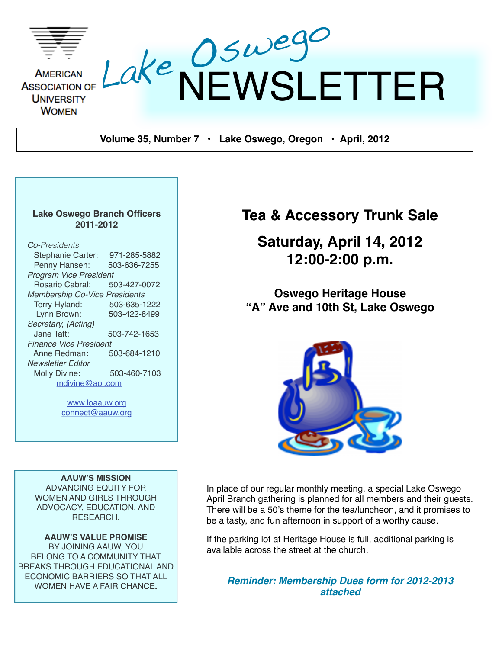

**Volume 35, Number 7 • Lake Oswego, Oregon • April, 2012**

#### **Lake Oswego Branch Officers 2011-2012**

#### *Co-Presidents* Stephanie Carter: 971-285-5882 Penny Hansen: 503-636-7255 *Program Vice President* **Rosario Cabral:** *Membership Co-Vice Presidents* Terry Hyland: 503-635-1222 Lynn Brown: 503-422-8499 *Secretary, (Acting)* Jane Taft: 503-742-1653 *Finance Vice President* Anne Redman**:** 503-684-1210 *Newsletter Editor*  Molly Divine: 503-460-7103 [mdivine@aol.com](mailto:mdivine@aol.com)

[www.loaauw.org](http://www.loaauw.org) [connect@aauw.org](mailto:connect@aauw.org)

**AAUW'S MISSION** ADVANCING EQUITY FOR WOMEN AND GIRLS THROUGH ADVOCACY, EDUCATION, AND RESEARCH.

**AAUW'S VALUE PROMISE** BY JOINING AAUW, YOU BELONG TO A COMMUNITY THAT BREAKS THROUGH EDUCATIONAL AND ECONOMIC BARRIERS SO THAT ALL WOMEN HAVE A FAIR CHANCE**.**

## **Tea & Accessory Trunk Sale**

## **Saturday, April 14, 2012 12:00-2:00 p.m.**

**Oswego Heritage House "A" Ave and 10th St, Lake Oswego**



In place of our regular monthly meeting, a special Lake Oswego April Branch gathering is planned for all members and their guests. There will be a 50's theme for the tea/luncheon, and it promises to be a tasty, and fun afternoon in support of a worthy cause.

If the parking lot at Heritage House is full, additional parking is available across the street at the church.

*Reminder: Membership Dues form for 2012-2013 attached*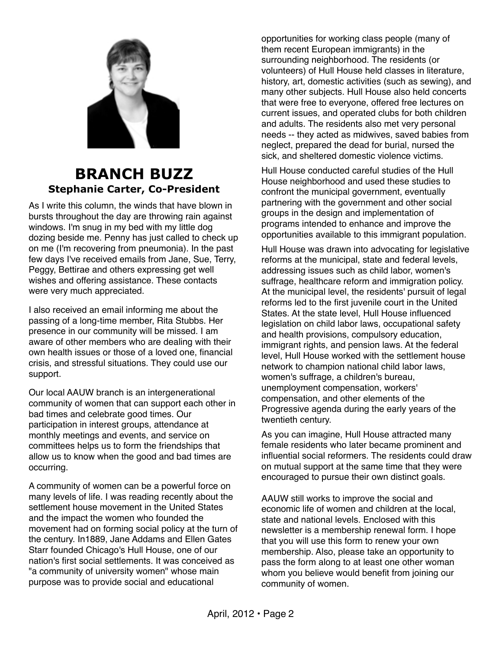

### **BRANCH BUZZ Stephanie Carter, Co-President**

As I write this column, the winds that have blown in bursts throughout the day are throwing rain against windows. I'm snug in my bed with my little dog dozing beside me. Penny has just called to check up on me (I'm recovering from pneumonia). In the past few days I've received emails from Jane, Sue, Terry, Peggy, Bettirae and others expressing get well wishes and offering assistance. These contacts were very much appreciated.

I also received an email informing me about the passing of a long-time member, Rita Stubbs. Her presence in our community will be missed. I am aware of other members who are dealing with their own health issues or those of a loved one, financial crisis, and stressful situations. They could use our support.

Our local AAUW branch is an intergenerational community of women that can support each other in bad times and celebrate good times. Our participation in interest groups, attendance at monthly meetings and events, and service on committees helps us to form the friendships that allow us to know when the good and bad times are occurring.

A community of women can be a powerful force on many levels of life. I was reading recently about the settlement house movement in the United States and the impact the women who founded the movement had on forming social policy at the turn of the century. In1889, Jane Addams and Ellen Gates Starr founded Chicago's Hull House, one of our nation's first social settlements. It was conceived as "a community of university women" whose main purpose was to provide social and educational

opportunities for working class people (many of them recent European immigrants) in the surrounding neighborhood. The residents (or volunteers) of Hull House held classes in literature, history, art, domestic activities (such as sewing), and many other subjects. Hull House also held concerts that were free to everyone, offered free lectures on current issues, and operated clubs for both children and adults. The residents also met very personal needs -- they acted as midwives, saved babies from neglect, prepared the dead for burial, nursed the sick, and sheltered domestic violence victims.

Hull House conducted careful studies of the Hull House neighborhood and used these studies to confront the municipal government, eventually partnering with the government and other social groups in the design and implementation of programs intended to enhance and improve the opportunities available to this immigrant population.

Hull House was drawn into advocating for legislative reforms at the municipal, state and federal levels, addressing issues such as child labor, women's suffrage, healthcare reform and immigration policy. At the municipal level, the residents' pursuit of legal reforms led to the first juvenile court in the United States. At the state level, Hull House influenced legislation on child labor laws, occupational safety and health provisions, compulsory education, immigrant rights, and pension laws. At the federal level, Hull House worked with the settlement house network to champion national child labor laws, women's suffrage, a children's bureau, unemployment compensation, workers' compensation, and other elements of the Progressive agenda during the early years of the twentieth century.

As you can imagine, Hull House attracted many female residents who later became prominent and influential social reformers. The residents could draw on mutual support at the same time that they were encouraged to pursue their own distinct goals.

AAUW still works to improve the social and economic life of women and children at the local, state and national levels. Enclosed with this newsletter is a membership renewal form. I hope that you will use this form to renew your own membership. Also, please take an opportunity to pass the form along to at least one other woman whom you believe would benefit from joining our community of women.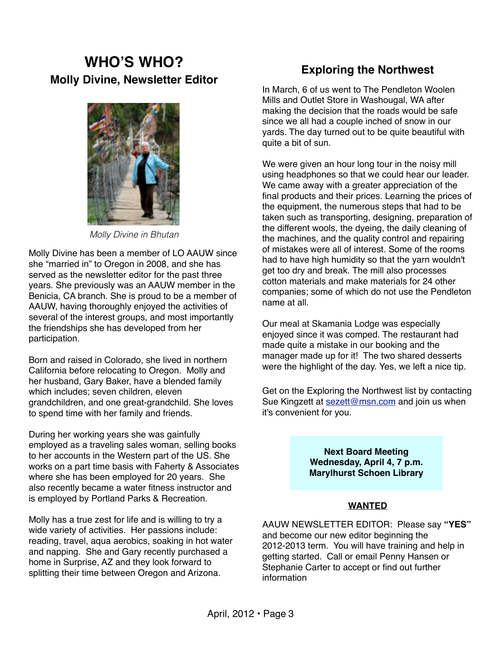## **WHO'S WHO? Molly Divine, Newsletter Editor**



*Molly Divine in Bhutan*

Molly Divine has been a member of LO AAUW since she "married in" to Oregon in 2008, and she has served as the newsletter editor for the past three years. She previously was an AAUW member in the Benicia, CA branch. She is proud to be a member of AAUW, having thoroughly enjoyed the activities of several of the interest groups, and most importantly the friendships she has developed from her participation.

Born and raised in Colorado, she lived in northern California before relocating to Oregon. Molly and her husband, Gary Baker, have a blended family which includes; seven children, eleven grandchildren, and one great-grandchild. She loves to spend time with her family and friends.

During her working years she was gainfully employed as a traveling sales woman, selling books to her accounts in the Western part of the US. She works on a part time basis with Faherty & Associates where she has been employed for 20 years. She also recently became a water fitness instructor and is employed by Portland Parks & Recreation.

Molly has a true zest for life and is willing to try a wide variety of activities. Her passions include: reading, travel, aqua aerobics, soaking in hot water and napping. She and Gary recently purchased a home in Surprise, AZ and they look forward to splitting their time between Oregon and Arizona.

### **Exploring the Northwest**

In March, 6 of us went to The Pendleton Woolen Mills and Outlet Store in Washougal, WA after making the decision that the roads would be safe since we all had a couple inched of snow in our yards. The day turned out to be quite beautiful with quite a bit of sun.

We were given an hour long tour in the noisy mill using headphones so that we could hear our leader. We came away with a greater appreciation of the final products and their prices. Learning the prices of the equipment, the numerous steps that had to be taken such as transporting, designing, preparation of the different wools, the dyeing, the daily cleaning of the machines, and the quality control and repairing of mistakes were all of interest. Some of the rooms had to have high humidity so that the yarn wouldn't get too dry and break. The mill also processes cotton materials and make materials for 24 other companies; some of which do not use the Pendleton name at all.

Our meal at Skamania Lodge was especially enjoyed since it was comped. The restaurant had made quite a mistake in our booking and the manager made up for it! The two shared desserts were the highlight of the day. Yes, we left a nice tip.

Get on the Exploring the Northwest list by contacting Sue Kingzett at [sezett@msn.com](mailto:sezett@msn.com) and join us when it's convenient for you.

> **Next Board Meeting Wednesday, April 4, 7 p.m. Marylhurst Schoen Library**

#### **WANTED**

AAUW NEWSLETTER EDITOR: Please say **"YES"** and become our new editor beginning the 2012-2013 term. You will have training and help in getting started. Call or email Penny Hansen or Stephanie Carter to accept or find out further information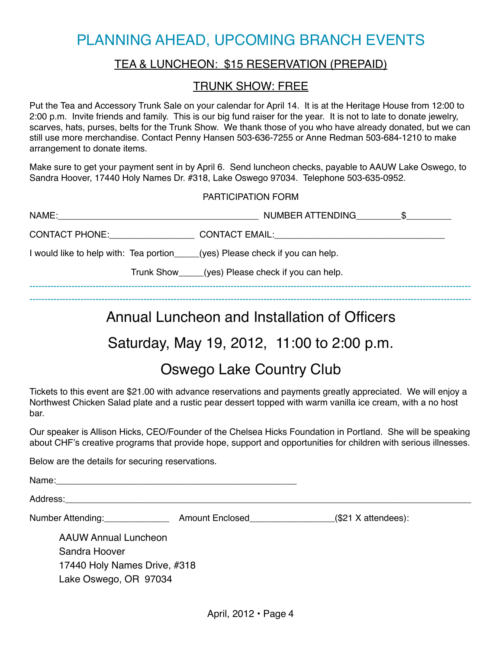## PLANNING AHEAD, UPCOMING BRANCH EVENTS

#### TEA & LUNCHEON: \$15 RESERVATION (PREPAID)

#### TRUNK SHOW: FREE

Put the Tea and Accessory Trunk Sale on your calendar for April 14. It is at the Heritage House from 12:00 to 2:00 p.m. Invite friends and family. This is our big fund raiser for the year. It is not to late to donate jewelry, scarves, hats, purses, belts for the Trunk Show. We thank those of you who have already donated, but we can still use more merchandise. Contact Penny Hansen 503-636-7255 or Anne Redman 503-684-1210 to make arrangement to donate items.

Make sure to get your payment sent in by April 6. Send luncheon checks, payable to AAUW Lake Oswego, to Sandra Hoover, 17440 Holy Names Dr. #318, Lake Oswego 97034. Telephone 503-635-0952.

#### PARTICIPATION FORM

| NAME:                                                                                                         | NUMBER ATTENDING                                   |
|---------------------------------------------------------------------------------------------------------------|----------------------------------------------------|
| CONTACT PHONE: THE STATE OF THE STATE OF THE STATE OF THE STATE OF THE STATE OF THE STATE OF THE STATE OF THE |                                                    |
| I would like to help with: Tea portion (yes) Please check if you can help.                                    |                                                    |
|                                                                                                               | Trunk Show_____(yes) Please check if you can help. |
|                                                                                                               |                                                    |

---------------------------------------------------------------------------------------------------------------------------------------------------

## Annual Luncheon and Installation of Officers

## Saturday, May 19, 2012, 11:00 to 2:00 p.m.

## Oswego Lake Country Club

Tickets to this event are \$21.00 with advance reservations and payments greatly appreciated. We will enjoy a Northwest Chicken Salad plate and a rustic pear dessert topped with warm vanilla ice cream, with a no host bar.

Our speaker is Allison Hicks, CEO/Founder of the Chelsea Hicks Foundation in Portland. She will be speaking about CHF's creative programs that provide hope, support and opportunities for children with serious illnesses.

Below are the details for securing reservations.

Name:\_\_\_\_\_\_\_\_\_\_\_\_\_\_\_\_\_\_\_\_\_\_\_\_\_\_\_\_\_\_\_\_\_\_\_\_\_\_\_\_\_\_\_\_\_\_\_\_

Address: **Example 20** 

Number Attending: \_\_\_\_\_\_\_\_\_\_\_\_\_\_\_\_\_\_\_\_\_\_\_\_ Amount Enclosed\_\_\_\_\_\_\_\_\_\_\_\_\_\_\_\_\_\_\_\_\_\_(\$21 X attendees):

AAUW Annual Luncheon

Sandra Hoover 17440 Holy Names Drive, #318 Lake Oswego, OR 97034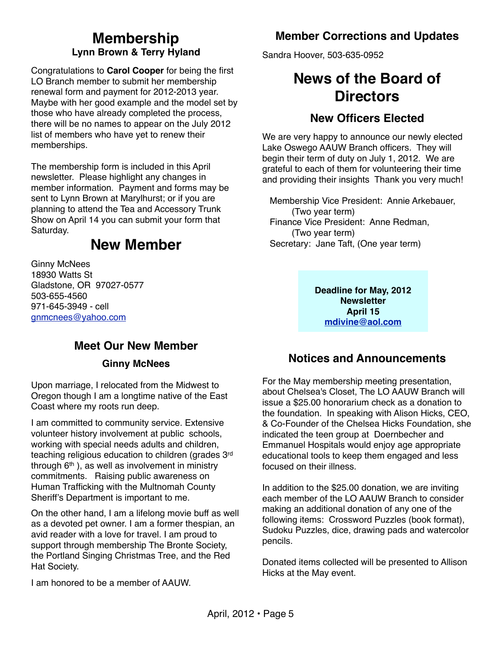### **Membership Lynn Brown & Terry Hyland**

Congratulations to **Carol Cooper** for being the first LO Branch member to submit her membership renewal form and payment for 2012-2013 year. Maybe with her good example and the model set by those who have already completed the process, there will be no names to appear on the July 2012 list of members who have yet to renew their memberships.

The membership form is included in this April newsletter. Please highlight any changes in member information. Payment and forms may be sent to Lynn Brown at Marylhurst; or if you are planning to attend the Tea and Accessory Trunk Show on April 14 you can submit your form that Saturday.

## **New Member**

Ginny McNees 18930 Watts St Gladstone, OR 97027-0577 503-655-4560 971-645-3949 - cell [gnmcnees@yahoo.com](mailto:gnmcnees@yahoo.com)

## **Member Corrections and Updates**

Sandra Hoover, 503-635-0952

## **News of the Board of Directors**

### **New Officers Elected**

We are very happy to announce our newly elected Lake Oswego AAUW Branch officers. They will begin their term of duty on July 1, 2012. We are grateful to each of them for volunteering their time and providing their insights Thank you very much!

 Membership Vice President: Annie Arkebauer, (Two year term) Finance Vice President: Anne Redman, (Two year term) Secretary: Jane Taft, (One year term)

> **Deadline for May, 2012 Newsletter April 15 [mdivine@aol.com](mailto:mdivine@aol.com)**

## **Meet Our New Member**

#### **Ginny McNees**

Upon marriage, I relocated from the Midwest to Oregon though I am a longtime native of the East Coast where my roots run deep.

I am committed to community service. Extensive volunteer history involvement at public schools, working with special needs adults and children, teaching religious education to children (grades 3rd through  $6<sup>th</sup>$ ), as well as involvement in ministry commitments. Raising public awareness on Human Trafficking with the Multnomah County Sheriff's Department is important to me.

 On the other hand, I am a lifelong movie buff as well as a devoted pet owner. I am a former thespian, an avid reader with a love for travel. I am proud to support through membership The Bronte Society, the Portland Singing Christmas Tree, and the Red Hat Society.

I am honored to be a member of AAUW.

### **Notices and Announcements**

For the May membership meeting presentation, about Chelsea's Closet, The LO AAUW Branch will issue a \$25.00 honorarium check as a donation to the foundation. In speaking with Alison Hicks, CEO, & Co-Founder of the Chelsea Hicks Foundation, she indicated the teen group at Doernbecher and Emmanuel Hospitals would enjoy age appropriate educational tools to keep them engaged and less focused on their illness.

In addition to the \$25.00 donation, we are inviting each member of the LO AAUW Branch to consider making an additional donation of any one of the following items: Crossword Puzzles (book format), Sudoku Puzzles, dice, drawing pads and watercolor pencils.

Donated items collected will be presented to Allison Hicks at the May event.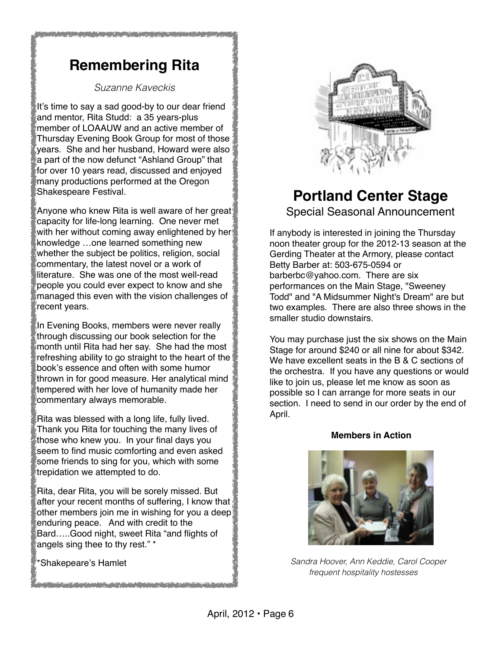## **Remembering Rita**

#### *Suzanne Kaveckis*

It's time to say a sad good-by to our dear friend and mentor, Rita Studd: a 35 years-plus member of LOAAUW and an active member of Thursday Evening Book Group for most of those years. She and her husband, Howard were also a part of the now defunct "Ashland Group" that for over 10 years read, discussed and enjoyed many productions performed at the Oregon Shakespeare Festival.

Anyone who knew Rita is well aware of her great capacity for life-long learning. One never met with her without coming away enlightened by her knowledge …one learned something new whether the subject be politics, religion, social commentary, the latest novel or a work of literature. She was one of the most well-read people you could ever expect to know and she managed this even with the vision challenges of recent years.

In Evening Books, members were never really through discussing our book selection for the month until Rita had her say. She had the most refreshing ability to go straight to the heart of the book's essence and often with some humor thrown in for good measure. Her analytical mind tempered with her love of humanity made her commentary always memorable.

Rita was blessed with a long life, fully lived. Thank you Rita for touching the many lives of those who knew you. In your final days you seem to find music comforting and even asked some friends to sing for you, which with some trepidation we attempted to do.

Rita, dear Rita, you will be sorely missed. But after your recent months of suffering, I know that other members join me in wishing for you a deep enduring peace. And with credit to the Bard…..Good night, sweet Rita "and flights of angels sing thee to thy rest." \*

<u>i postali di stanovni na veličini da un n. 1 n. obad ne obleva de</u>

\*Shakepeare's Hamlet



## **Portland Center Stage** Special Seasonal Announcement

If anybody is interested in joining the Thursday noon theater group for the 2012-13 season at the Gerding Theater at the Armory, please contact Betty Barber at: 503-675-0594 or barberbc@yahoo.com. There are six performances on the Main Stage, "Sweeney Todd" and "A Midsummer Night's Dream" are but two examples. There are also three shows in the smaller studio downstairs.

You may purchase just the six shows on the Main Stage for around \$240 or all nine for about \$342. We have excellent seats in the B & C sections of the orchestra. If you have any questions or would like to join us, please let me know as soon as possible so I can arrange for more seats in our section. I need to send in our order by the end of April.

#### **Members in Action**



 *Sandra Hoover, Ann Keddie, Carol Cooper frequent hospitality hostesses*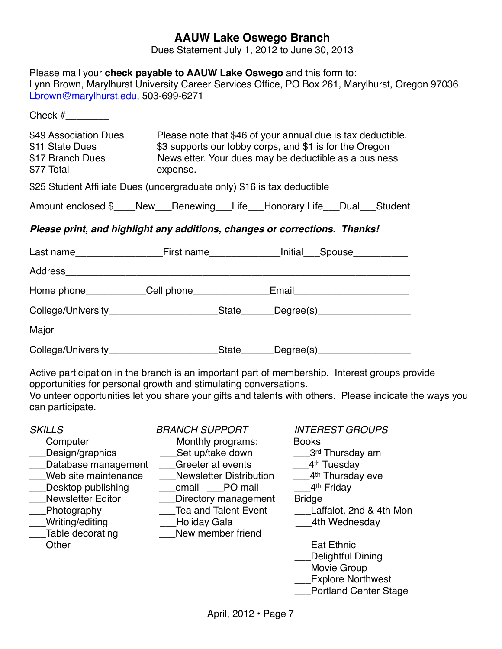#### **AAUW Lake Oswego Branch**

Dues Statement July 1, 2012 to June 30, 2013

| Lbrown@marylhurst.edu, 503-699-6271                                        | Please mail your check payable to AAUW Lake Oswego and this form to:    | Lynn Brown, Marylhurst University Career Services Office, PO Box 261, Marylhurst, Oregon 97036                                                                                                           |  |  |  |
|----------------------------------------------------------------------------|-------------------------------------------------------------------------|----------------------------------------------------------------------------------------------------------------------------------------------------------------------------------------------------------|--|--|--|
| Check $#$                                                                  |                                                                         |                                                                                                                                                                                                          |  |  |  |
| \$49 Association Dues<br>\$11 State Dues<br>\$17 Branch Dues<br>\$77 Total | expense.                                                                | Please note that \$46 of your annual due is tax deductible.<br>\$3 supports our lobby corps, and \$1 is for the Oregon<br>Newsletter. Your dues may be deductible as a business                          |  |  |  |
|                                                                            | \$25 Student Affiliate Dues (undergraduate only) \$16 is tax deductible |                                                                                                                                                                                                          |  |  |  |
|                                                                            |                                                                         | Amount enclosed \$____New___Renewing___Life___Honorary Life___Dual___Student                                                                                                                             |  |  |  |
|                                                                            |                                                                         | Please print, and highlight any additions, changes or corrections. Thanks!                                                                                                                               |  |  |  |
|                                                                            |                                                                         |                                                                                                                                                                                                          |  |  |  |
|                                                                            |                                                                         |                                                                                                                                                                                                          |  |  |  |
|                                                                            |                                                                         | Home phone____________Cell phone________________Email___________________________                                                                                                                         |  |  |  |
|                                                                            |                                                                         | College/University____________________________State_______Degree(s)_____________                                                                                                                         |  |  |  |
| Major________________________                                              |                                                                         |                                                                                                                                                                                                          |  |  |  |
|                                                                            |                                                                         | College/University___________________________State_______Degree(s)______________                                                                                                                         |  |  |  |
| can participate.                                                           | opportunities for personal growth and stimulating conversations.        | Active participation in the branch is an important part of membership. Interest groups provide<br>Volunteer opportunities let you share your gifts and talents with others. Please indicate the ways you |  |  |  |
| <b>SKILLS</b><br>Computer -                                                | <b>BRANCH SUPPORT</b><br>Monthly programe:                              | <b>INTEREST GROUPS</b><br>Rooke                                                                                                                                                                          |  |  |  |

\_\_\_Table decorating \_\_\_New member friend

**Computer Monthly programs: Books** \_\_\_Design/graphics \_\_\_Set up/take down \_\_\_3rd Thursday am \_\_Database management \_\_\_Greeter at events \_\_\_4<sup>th</sup> Tuesday<br>\_\_Web site maintenance \_\_\_Newsletter Distribution \_\_\_4<sup>th</sup> Thursday eve Newsletter Distribution Desktop publishing \_\_\_\_\_email \_\_\_PO mail \_\_\_\_\_\_4<sup>th</sup> Friday \_Newsletter Editor \_\_\_\_\_\_\_\_Directory management \_\_\_Bridge<br>\_\_Photography \_\_\_\_\_\_\_\_\_\_\_\_\_\_\_\_\_\_\_\_\_\_\_\_\_\_\_\_\_\_\_\_\_\_\_Laf \_Writing/editing \_\_\_\_\_\_\_\_\_\_\_\_\_\_Holiday Gala \_\_\_\_\_\_\_\_\_\_\_\_\_\_\_\_\_\_\_\_\_\_4th Wednesday **Other Example 2 Contract 2 Contract 2 Contract 2 Contract 2 Contract 2 Contract 2 Contract 2 Contract 2 Contract 2 Contract 2 Contract 2 Contract 2 Contract 2 Contract 2 Contract 2 Contra** 

- 
- 
- 
- 

\_\_\_Laffalot, 2nd & 4th Mon

- 
- \_\_Delightful Dining
- \_\_\_Movie Group
- \_\_\_Explore Northwest
- \_\_\_Portland Center Stage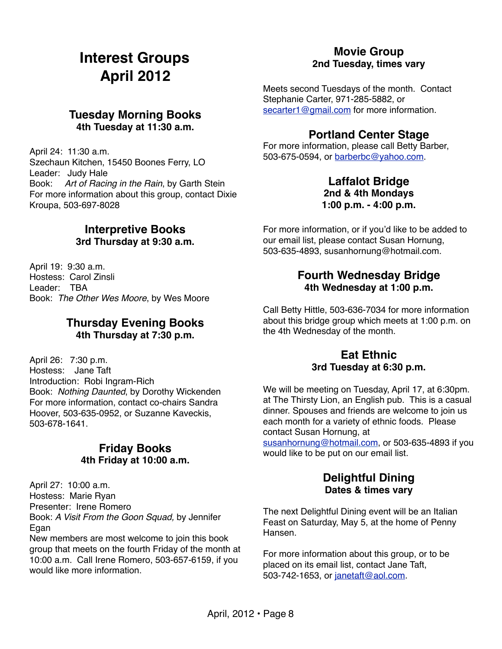## **Interest Groups April 2012**

#### **Tuesday Morning Books 4th Tuesday at 11:30 a.m.**

April 24: 11:30 a.m. Szechaun Kitchen, 15450 Boones Ferry, LO Leader: Judy Hale Book: *Art of Racing in the Rain*, by Garth Stein For more information about this group, contact Dixie Kroupa, 503-697-8028

#### **Interpretive Books 3rd Thursday at 9:30 a.m.**

April 19: 9:30 a.m. Hostess: Carol Zinsli Leader: TBA Book: *The Other Wes Moore*, by Wes Moore

#### **Thursday Evening Books 4th Thursday at 7:30 p.m.**

April 26: 7:30 p.m. Hostess: Jane Taft Introduction: Robi Ingram-Rich Book: *Nothing Daunted*, by Dorothy Wickenden For more information, contact co-chairs Sandra Hoover, 503-635-0952, or Suzanne Kaveckis, 503-678-1641.

#### **Friday Books 4th Friday at 10:00 a.m.**

April 27: 10:00 a.m. Hostess: Marie Ryan Presenter: Irene Romero Book: *A Visit From the Goon Squad,* by Jennifer Egan

New members are most welcome to join this book group that meets on the fourth Friday of the month at 10:00 a.m. Call Irene Romero, 503-657-6159, if you would like more information

#### **Movie Group 2nd Tuesday, times vary**

Meets second Tuesdays of the month. Contact Stephanie Carter, 971-285-5882, or [secarter1@gmail.com](mailto:secarter1@gmail.com) for more information.

#### **Portland Center Stage**

For more information, please call Betty Barber, 503-675-0594, or [barberbc@yahoo.com.](mailto:barberbc@yahoo.com)

#### **Laffalot Bridge 2nd & 4th Mondays 1:00 p.m. - 4:00 p.m.**

For more information, or if you'd like to be added to our email list, please contact Susan Hornung, 503-635-4893, susanhornung@hotmail.com.

#### **Fourth Wednesday Bridge 4th Wednesday at 1:00 p.m.**

Call Betty Hittle, 503-636-7034 for more information about this bridge group which meets at 1:00 p.m. on the 4th Wednesday of the month.

#### **Eat Ethnic 3rd Tuesday at 6:30 p.m.**

We will be meeting on Tuesday, April 17, at 6:30pm. at The Thirsty Lion, an English pub. This is a casual dinner. Spouses and friends are welcome to join us each month for a variety of ethnic foods. Please contact Susan Hornung, at

[susanhornung@hotmail.com,](mailto:susanhornung@hotmail.com) or 503-635-4893 if you would like to be put on our email list.

#### **Delightful Dining Dates & times vary**

The next Delightful Dining event will be an Italian Feast on Saturday, May 5, at the home of Penny Hansen.

For more information about this group, or to be placed on its email list, contact Jane Taft, 503-742-1653, or [janetaft@aol.com.](mailto:janetaft@aol.com)